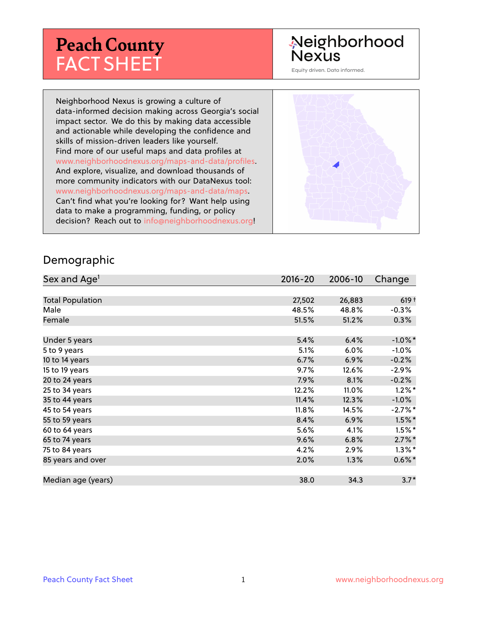# **Peach County** FACT SHEET

#### Neighborhood Nexus

Equity driven. Data informed.

Neighborhood Nexus is growing a culture of data-informed decision making across Georgia's social impact sector. We do this by making data accessible and actionable while developing the confidence and skills of mission-driven leaders like yourself. Find more of our useful maps and data profiles at www.neighborhoodnexus.org/maps-and-data/profiles. And explore, visualize, and download thousands of more community indicators with our DataNexus tool: www.neighborhoodnexus.org/maps-and-data/maps. Can't find what you're looking for? Want help using data to make a programming, funding, or policy decision? Reach out to [info@neighborhoodnexus.org!](mailto:info@neighborhoodnexus.org)



#### Demographic

| Sex and Age <sup>1</sup> | $2016 - 20$ | 2006-10 | Change     |
|--------------------------|-------------|---------|------------|
|                          |             |         |            |
| <b>Total Population</b>  | 27,502      | 26,883  | $619+$     |
| Male                     | 48.5%       | 48.8%   | $-0.3%$    |
| Female                   | 51.5%       | 51.2%   | $0.3\%$    |
|                          |             |         |            |
| Under 5 years            | 5.4%        | 6.4%    | $-1.0\%$ * |
| 5 to 9 years             | 5.1%        | $6.0\%$ | $-1.0%$    |
| 10 to 14 years           | 6.7%        | 6.9%    | $-0.2%$    |
| 15 to 19 years           | 9.7%        | 12.6%   | $-2.9\%$   |
| 20 to 24 years           | 7.9%        | 8.1%    | $-0.2%$    |
| 25 to 34 years           | 12.2%       | 11.0%   | $1.2\%$ *  |
| 35 to 44 years           | 11.4%       | 12.3%   | $-1.0%$    |
| 45 to 54 years           | 11.8%       | 14.5%   | $-2.7%$ *  |
| 55 to 59 years           | 8.4%        | 6.9%    | $1.5\%$ *  |
| 60 to 64 years           | 5.6%        | 4.1%    | $1.5\%$ *  |
| 65 to 74 years           | 9.6%        | 6.8%    | $2.7\%$ *  |
| 75 to 84 years           | 4.2%        | 2.9%    | $1.3\%$ *  |
| 85 years and over        | 2.0%        | 1.3%    | $0.6\%$ *  |
|                          |             |         |            |
| Median age (years)       | 38.0        | 34.3    | $3.7*$     |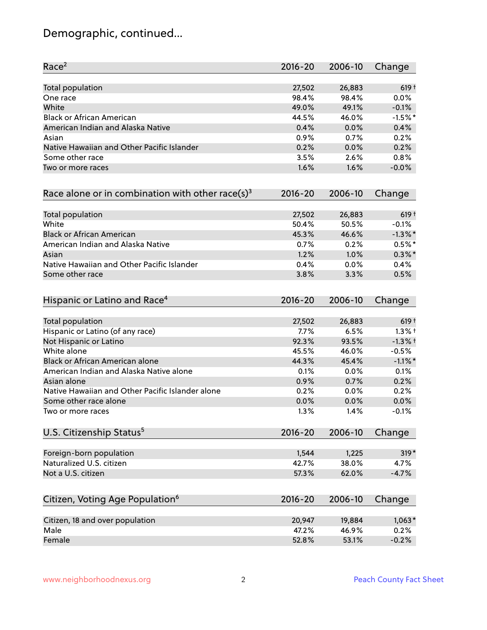# Demographic, continued...

| Race <sup>2</sup>                                            | $2016 - 20$ | 2006-10 | Change     |
|--------------------------------------------------------------|-------------|---------|------------|
| Total population                                             | 27,502      | 26,883  | $619 +$    |
| One race                                                     | 98.4%       | 98.4%   | 0.0%       |
| White                                                        | 49.0%       | 49.1%   | $-0.1%$    |
| <b>Black or African American</b>                             | 44.5%       | 46.0%   | $-1.5%$ *  |
| American Indian and Alaska Native                            | 0.4%        | 0.0%    | 0.4%       |
| Asian                                                        | 0.9%        | 0.7%    | 0.2%       |
| Native Hawaiian and Other Pacific Islander                   | 0.2%        | 0.0%    | 0.2%       |
| Some other race                                              | 3.5%        | 2.6%    | 0.8%       |
| Two or more races                                            | 1.6%        | 1.6%    | $-0.0%$    |
| Race alone or in combination with other race(s) <sup>3</sup> | $2016 - 20$ | 2006-10 | Change     |
| Total population                                             | 27,502      | 26,883  | $619 +$    |
| White                                                        | 50.4%       | 50.5%   | $-0.1%$    |
| <b>Black or African American</b>                             | 45.3%       | 46.6%   | $-1.3\%$ * |
| American Indian and Alaska Native                            | 0.7%        | 0.2%    | $0.5%$ *   |
| Asian                                                        | 1.2%        | 1.0%    | $0.3\%$ *  |
| Native Hawaiian and Other Pacific Islander                   | 0.4%        | 0.0%    | 0.4%       |
| Some other race                                              | 3.8%        | 3.3%    | 0.5%       |
| Hispanic or Latino and Race <sup>4</sup>                     | $2016 - 20$ | 2006-10 | Change     |
| Total population                                             | 27,502      | 26,883  | $619+$     |
| Hispanic or Latino (of any race)                             | 7.7%        | 6.5%    | $1.3%$ †   |
| Not Hispanic or Latino                                       | 92.3%       | 93.5%   | $-1.3%$ †  |
| White alone                                                  | 45.5%       | 46.0%   | $-0.5%$    |
| Black or African American alone                              | 44.3%       | 45.4%   | $-1.1\%$ * |
| American Indian and Alaska Native alone                      | 0.1%        | $0.0\%$ | 0.1%       |
| Asian alone                                                  | 0.9%        | 0.7%    | 0.2%       |
| Native Hawaiian and Other Pacific Islander alone             | 0.2%        | 0.0%    | 0.2%       |
| Some other race alone                                        | 0.0%        | 0.0%    | 0.0%       |
| Two or more races                                            | 1.3%        | 1.4%    | $-0.1%$    |
| U.S. Citizenship Status <sup>5</sup>                         | $2016 - 20$ | 2006-10 | Change     |
| Foreign-born population                                      | 1,544       | 1,225   | $319*$     |
| Naturalized U.S. citizen                                     | 42.7%       | 38.0%   | 4.7%       |
| Not a U.S. citizen                                           | 57.3%       | 62.0%   | $-4.7%$    |
| Citizen, Voting Age Population <sup>6</sup>                  | $2016 - 20$ | 2006-10 | Change     |
|                                                              |             |         |            |
| Citizen, 18 and over population                              | 20,947      | 19,884  | $1,063*$   |
| Male                                                         | 47.2%       | 46.9%   | 0.2%       |
| Female                                                       | 52.8%       | 53.1%   | $-0.2%$    |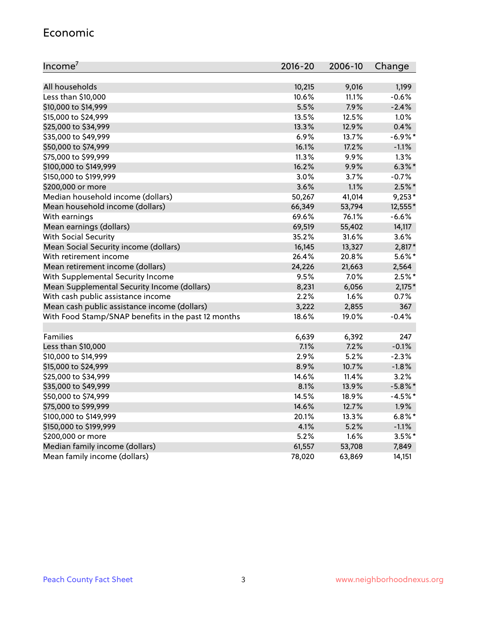#### Economic

| Income <sup>7</sup>                                 | $2016 - 20$ | 2006-10 | Change     |
|-----------------------------------------------------|-------------|---------|------------|
|                                                     |             |         |            |
| All households                                      | 10,215      | 9,016   | 1,199      |
| Less than \$10,000                                  | 10.6%       | 11.1%   | $-0.6%$    |
| \$10,000 to \$14,999                                | 5.5%        | 7.9%    | $-2.4%$    |
| \$15,000 to \$24,999                                | 13.5%       | 12.5%   | 1.0%       |
| \$25,000 to \$34,999                                | 13.3%       | 12.9%   | 0.4%       |
| \$35,000 to \$49,999                                | 6.9%        | 13.7%   | $-6.9\%$ * |
| \$50,000 to \$74,999                                | 16.1%       | 17.2%   | $-1.1%$    |
| \$75,000 to \$99,999                                | 11.3%       | 9.9%    | 1.3%       |
| \$100,000 to \$149,999                              | 16.2%       | 9.9%    | $6.3\%$ *  |
| \$150,000 to \$199,999                              | 3.0%        | 3.7%    | $-0.7%$    |
| \$200,000 or more                                   | 3.6%        | 1.1%    | $2.5\%$ *  |
| Median household income (dollars)                   | 50,267      | 41,014  | $9,253*$   |
| Mean household income (dollars)                     | 66,349      | 53,794  | 12,555*    |
| With earnings                                       | 69.6%       | 76.1%   | $-6.6%$    |
| Mean earnings (dollars)                             | 69,519      | 55,402  | 14,117     |
| <b>With Social Security</b>                         | 35.2%       | 31.6%   | 3.6%       |
| Mean Social Security income (dollars)               | 16,145      | 13,327  | $2,817*$   |
| With retirement income                              | 26.4%       | 20.8%   | 5.6%*      |
| Mean retirement income (dollars)                    | 24,226      | 21,663  | 2,564      |
| With Supplemental Security Income                   | 9.5%        | 7.0%    | $2.5%$ *   |
| Mean Supplemental Security Income (dollars)         | 8,231       | 6,056   | $2,175*$   |
| With cash public assistance income                  | 2.2%        | 1.6%    | 0.7%       |
| Mean cash public assistance income (dollars)        | 3,222       | 2,855   | 367        |
| With Food Stamp/SNAP benefits in the past 12 months | 18.6%       | 19.0%   | $-0.4%$    |
|                                                     |             |         |            |
| Families                                            | 6,639       | 6,392   | 247        |
| Less than \$10,000                                  | 7.1%        | 7.2%    | $-0.1%$    |
| \$10,000 to \$14,999                                | 2.9%        | 5.2%    | $-2.3%$    |
| \$15,000 to \$24,999                                | 8.9%        | 10.7%   | $-1.8%$    |
| \$25,000 to \$34,999                                | 14.6%       | 11.4%   | 3.2%       |
| \$35,000 to \$49,999                                | 8.1%        | 13.9%   | $-5.8\%$ * |
| \$50,000 to \$74,999                                | 14.5%       | 18.9%   | $-4.5%$ *  |
| \$75,000 to \$99,999                                | 14.6%       | 12.7%   | 1.9%       |
| \$100,000 to \$149,999                              | 20.1%       | 13.3%   | $6.8\%$ *  |
| \$150,000 to \$199,999                              | 4.1%        | 5.2%    | $-1.1%$    |
| \$200,000 or more                                   | 5.2%        | 1.6%    | $3.5%$ *   |
| Median family income (dollars)                      | 61,557      | 53,708  | 7,849      |
| Mean family income (dollars)                        | 78,020      | 63,869  | 14,151     |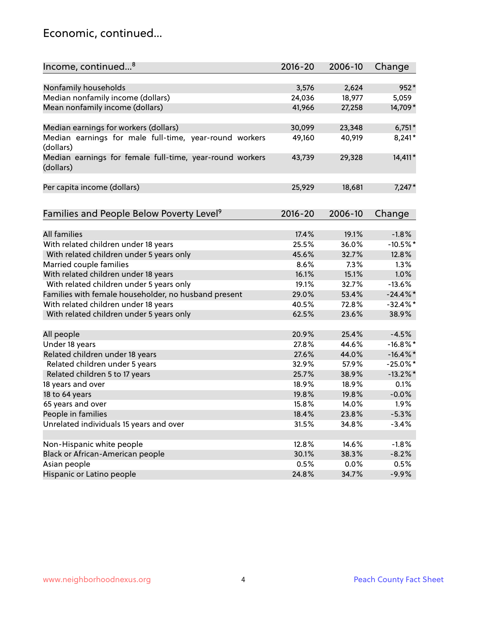#### Economic, continued...

| Income, continued <sup>8</sup>                                        | $2016 - 20$ | 2006-10 | Change      |
|-----------------------------------------------------------------------|-------------|---------|-------------|
|                                                                       |             |         |             |
| Nonfamily households                                                  | 3,576       | 2,624   | 952*        |
| Median nonfamily income (dollars)                                     | 24,036      | 18,977  | 5,059       |
| Mean nonfamily income (dollars)                                       | 41,966      | 27,258  | 14,709*     |
| Median earnings for workers (dollars)                                 | 30,099      | 23,348  | $6,751*$    |
| Median earnings for male full-time, year-round workers                | 49,160      | 40,919  | 8,241*      |
| (dollars)                                                             |             |         |             |
| Median earnings for female full-time, year-round workers<br>(dollars) | 43,739      | 29,328  | 14,411*     |
| Per capita income (dollars)                                           | 25,929      | 18,681  | $7,247*$    |
|                                                                       |             |         |             |
| Families and People Below Poverty Level <sup>9</sup>                  | $2016 - 20$ | 2006-10 | Change      |
|                                                                       |             |         |             |
| <b>All families</b>                                                   | 17.4%       | 19.1%   | $-1.8%$     |
| With related children under 18 years                                  | 25.5%       | 36.0%   | $-10.5%$ *  |
| With related children under 5 years only                              | 45.6%       | 32.7%   | 12.8%       |
| Married couple families                                               | 8.6%        | 7.3%    | 1.3%        |
| With related children under 18 years                                  | 16.1%       | 15.1%   | 1.0%        |
| With related children under 5 years only                              | 19.1%       | 32.7%   | $-13.6%$    |
| Families with female householder, no husband present                  | 29.0%       | 53.4%   | $-24.4\%$ * |
| With related children under 18 years                                  | 40.5%       | 72.8%   | $-32.4\%$ * |
| With related children under 5 years only                              | 62.5%       | 23.6%   | 38.9%       |
| All people                                                            | 20.9%       | 25.4%   | $-4.5%$     |
| Under 18 years                                                        | 27.8%       | 44.6%   | $-16.8\%$ * |
| Related children under 18 years                                       | 27.6%       | 44.0%   | $-16.4\%$ * |
| Related children under 5 years                                        | 32.9%       | 57.9%   | $-25.0\%$ * |
| Related children 5 to 17 years                                        | 25.7%       | 38.9%   | $-13.2\%$ * |
| 18 years and over                                                     | 18.9%       | 18.9%   | 0.1%        |
| 18 to 64 years                                                        | 19.8%       | 19.8%   | $-0.0%$     |
| 65 years and over                                                     | 15.8%       | 14.0%   | 1.9%        |
| People in families                                                    | 18.4%       | 23.8%   | $-5.3%$     |
| Unrelated individuals 15 years and over                               | 31.5%       | 34.8%   | $-3.4%$     |
|                                                                       |             |         |             |
| Non-Hispanic white people                                             | 12.8%       | 14.6%   | $-1.8%$     |
| Black or African-American people                                      | 30.1%       | 38.3%   | $-8.2%$     |
| Asian people                                                          | 0.5%        | $0.0\%$ | 0.5%        |
| Hispanic or Latino people                                             | 24.8%       | 34.7%   | $-9.9%$     |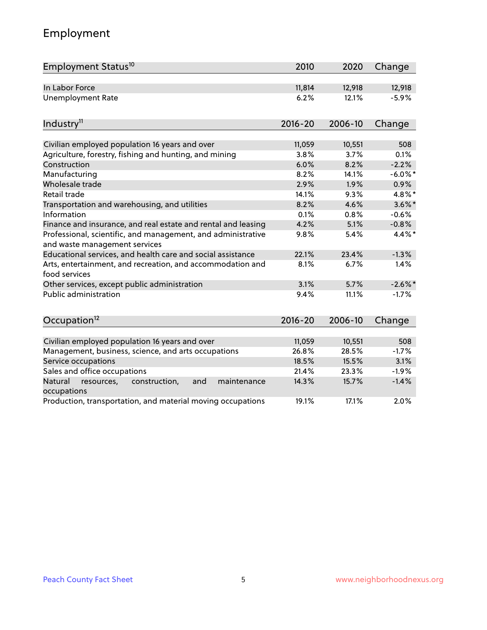# Employment

| Employment Status <sup>10</sup>                                                               | 2010        | 2020    | Change     |
|-----------------------------------------------------------------------------------------------|-------------|---------|------------|
| In Labor Force                                                                                | 11,814      | 12,918  | 12,918     |
| <b>Unemployment Rate</b>                                                                      | 6.2%        | 12.1%   | $-5.9%$    |
| Industry <sup>11</sup>                                                                        | $2016 - 20$ | 2006-10 | Change     |
|                                                                                               |             |         |            |
| Civilian employed population 16 years and over                                                | 11,059      | 10,551  | 508        |
| Agriculture, forestry, fishing and hunting, and mining                                        | 3.8%        | 3.7%    | 0.1%       |
| Construction                                                                                  | 6.0%        | 8.2%    | $-2.2%$    |
| Manufacturing                                                                                 | 8.2%        | 14.1%   | $-6.0\%$ * |
| Wholesale trade                                                                               | 2.9%        | 1.9%    | 0.9%       |
| Retail trade                                                                                  | 14.1%       | 9.3%    | 4.8%*      |
| Transportation and warehousing, and utilities                                                 | 8.2%        | 4.6%    | $3.6\%$ *  |
| Information                                                                                   | 0.1%        | 0.8%    | $-0.6%$    |
| Finance and insurance, and real estate and rental and leasing                                 | 4.2%        | 5.1%    | $-0.8%$    |
| Professional, scientific, and management, and administrative<br>and waste management services | 9.8%        | 5.4%    | 4.4%*      |
| Educational services, and health care and social assistance                                   | 22.1%       | 23.4%   | $-1.3%$    |
| Arts, entertainment, and recreation, and accommodation and<br>food services                   | 8.1%        | 6.7%    | 1.4%       |
| Other services, except public administration                                                  | 3.1%        | 5.7%    | $-2.6\%$   |
| Public administration                                                                         | 9.4%        | 11.1%   | $-1.7%$    |
| Occupation <sup>12</sup>                                                                      | $2016 - 20$ | 2006-10 | Change     |
|                                                                                               |             |         |            |
| Civilian employed population 16 years and over                                                | 11,059      | 10,551  | 508        |
| Management, business, science, and arts occupations                                           | 26.8%       | 28.5%   | $-1.7%$    |
| Service occupations                                                                           | 18.5%       | 15.5%   | 3.1%       |
| Sales and office occupations                                                                  | 21.4%       | 23.3%   | $-1.9%$    |
| and<br>Natural<br>resources,<br>construction,<br>maintenance<br>occupations                   | 14.3%       | 15.7%   | $-1.4%$    |
| Production, transportation, and material moving occupations                                   | 19.1%       | 17.1%   | 2.0%       |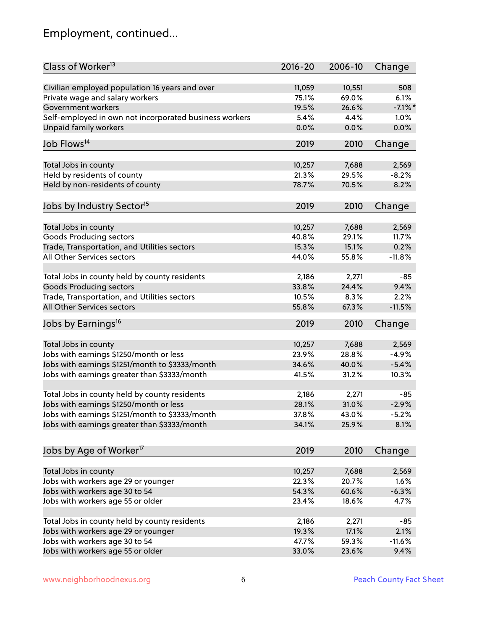# Employment, continued...

| Class of Worker <sup>13</sup>                          | $2016 - 20$ | 2006-10 | Change     |
|--------------------------------------------------------|-------------|---------|------------|
| Civilian employed population 16 years and over         | 11,059      | 10,551  | 508        |
| Private wage and salary workers                        | 75.1%       | 69.0%   | 6.1%       |
| Government workers                                     | 19.5%       | 26.6%   | $-7.1\%$ * |
| Self-employed in own not incorporated business workers | 5.4%        | 4.4%    | 1.0%       |
| Unpaid family workers                                  | 0.0%        | 0.0%    | 0.0%       |
|                                                        |             |         |            |
| Job Flows <sup>14</sup>                                | 2019        | 2010    | Change     |
| Total Jobs in county                                   | 10,257      | 7,688   | 2,569      |
| Held by residents of county                            | 21.3%       | 29.5%   | $-8.2%$    |
| Held by non-residents of county                        | 78.7%       | 70.5%   | 8.2%       |
|                                                        |             |         |            |
| Jobs by Industry Sector <sup>15</sup>                  | 2019        | 2010    | Change     |
| Total Jobs in county                                   | 10,257      | 7,688   | 2,569      |
| Goods Producing sectors                                | 40.8%       | 29.1%   | 11.7%      |
| Trade, Transportation, and Utilities sectors           | 15.3%       | 15.1%   | 0.2%       |
| All Other Services sectors                             | 44.0%       | 55.8%   | $-11.8%$   |
|                                                        |             |         |            |
| Total Jobs in county held by county residents          | 2,186       | 2,271   | $-85$      |
| <b>Goods Producing sectors</b>                         | 33.8%       | 24.4%   | 9.4%       |
| Trade, Transportation, and Utilities sectors           | 10.5%       | 8.3%    | 2.2%       |
| All Other Services sectors                             | 55.8%       | 67.3%   | $-11.5%$   |
| Jobs by Earnings <sup>16</sup>                         | 2019        | 2010    | Change     |
|                                                        |             |         |            |
| Total Jobs in county                                   | 10,257      | 7,688   | 2,569      |
| Jobs with earnings \$1250/month or less                | 23.9%       | 28.8%   | $-4.9%$    |
| Jobs with earnings \$1251/month to \$3333/month        | 34.6%       | 40.0%   | $-5.4%$    |
| Jobs with earnings greater than \$3333/month           | 41.5%       | 31.2%   | 10.3%      |
| Total Jobs in county held by county residents          | 2,186       | 2,271   | $-85$      |
| Jobs with earnings \$1250/month or less                | 28.1%       | 31.0%   | $-2.9%$    |
| Jobs with earnings \$1251/month to \$3333/month        | 37.8%       | 43.0%   | $-5.2%$    |
| Jobs with earnings greater than \$3333/month           | 34.1%       | 25.9%   | 8.1%       |
|                                                        |             |         |            |
| Jobs by Age of Worker <sup>17</sup>                    | 2019        | 2010    | Change     |
|                                                        |             |         |            |
| Total Jobs in county                                   | 10,257      | 7,688   | 2,569      |
| Jobs with workers age 29 or younger                    | 22.3%       | 20.7%   | 1.6%       |
| Jobs with workers age 30 to 54                         | 54.3%       | 60.6%   | $-6.3%$    |
| Jobs with workers age 55 or older                      | 23.4%       | 18.6%   | 4.7%       |
| Total Jobs in county held by county residents          | 2,186       | 2,271   | $-85$      |
| Jobs with workers age 29 or younger                    | 19.3%       | 17.1%   | 2.1%       |
| Jobs with workers age 30 to 54                         | 47.7%       | 59.3%   | $-11.6%$   |
| Jobs with workers age 55 or older                      | 33.0%       | 23.6%   | 9.4%       |
|                                                        |             |         |            |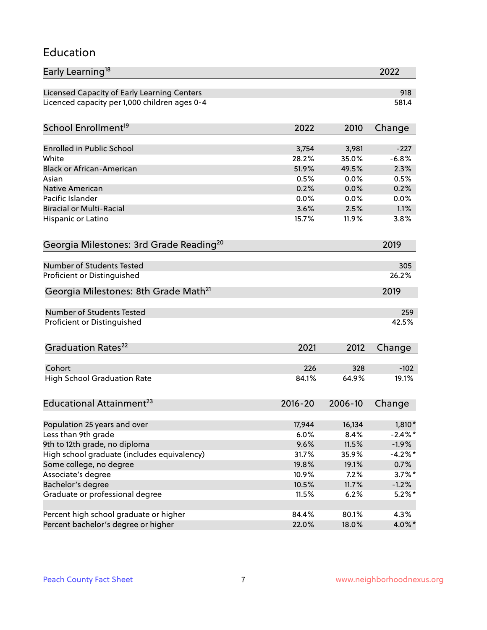#### Education

| Early Learning <sup>18</sup>                        |             |         | 2022       |
|-----------------------------------------------------|-------------|---------|------------|
| Licensed Capacity of Early Learning Centers         |             |         | 918        |
| Licenced capacity per 1,000 children ages 0-4       |             |         | 581.4      |
| School Enrollment <sup>19</sup>                     | 2022        | 2010    | Change     |
|                                                     |             |         |            |
| <b>Enrolled in Public School</b>                    | 3,754       | 3,981   | $-227$     |
| White                                               | 28.2%       | 35.0%   | $-6.8%$    |
| <b>Black or African-American</b>                    | 51.9%       | 49.5%   | 2.3%       |
| Asian                                               | 0.5%        | 0.0%    | 0.5%       |
| Native American                                     | 0.2%        | 0.0%    | 0.2%       |
| Pacific Islander                                    | 0.0%        | 0.0%    | 0.0%       |
| <b>Biracial or Multi-Racial</b>                     | 3.6%        | 2.5%    | 1.1%       |
| Hispanic or Latino                                  | 15.7%       | 11.9%   | 3.8%       |
| Georgia Milestones: 3rd Grade Reading <sup>20</sup> |             |         | 2019       |
|                                                     |             |         |            |
| Number of Students Tested                           |             |         | 305        |
| Proficient or Distinguished                         |             |         | 26.2%      |
| Georgia Milestones: 8th Grade Math <sup>21</sup>    |             |         | 2019       |
| <b>Number of Students Tested</b>                    |             |         | 259        |
| Proficient or Distinguished                         |             |         | 42.5%      |
|                                                     |             |         |            |
| Graduation Rates <sup>22</sup>                      | 2021        | 2012    | Change     |
| Cohort                                              | 226         | 328     | $-102$     |
| <b>High School Graduation Rate</b>                  | 84.1%       | 64.9%   | 19.1%      |
|                                                     |             |         |            |
| Educational Attainment <sup>23</sup>                | $2016 - 20$ | 2006-10 | Change     |
| Population 25 years and over                        | 17,944      | 16,134  | $1,810*$   |
| Less than 9th grade                                 | 6.0%        | 8.4%    | $-2.4\%$ * |
| 9th to 12th grade, no diploma                       | 9.6%        | 11.5%   | $-1.9%$    |
| High school graduate (includes equivalency)         | 31.7%       | 35.9%   | $-4.2\%$ * |
|                                                     |             |         |            |
| Some college, no degree                             | 19.8%       | 19.1%   | 0.7%       |
| Associate's degree                                  | 10.9%       | 7.2%    | $3.7\%$ *  |
| Bachelor's degree                                   | 10.5%       | 11.7%   | $-1.2%$    |
| Graduate or professional degree                     | 11.5%       | 6.2%    | $5.2\%$ *  |
| Percent high school graduate or higher              | 84.4%       | 80.1%   | 4.3%       |
| Percent bachelor's degree or higher                 | 22.0%       | 18.0%   | 4.0%*      |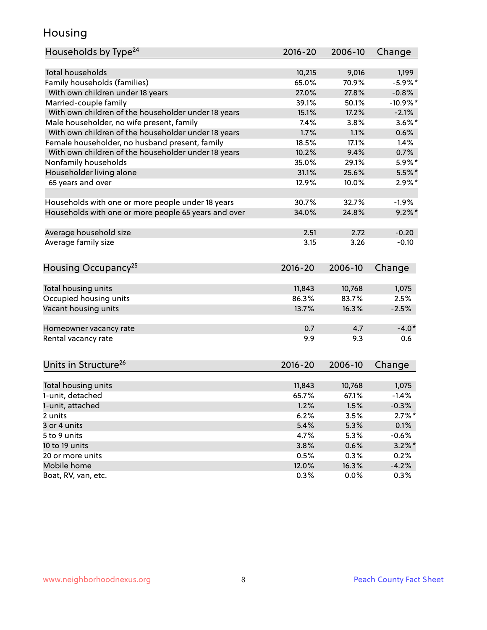#### Housing

| Households by Type <sup>24</sup>                     | 2016-20     | 2006-10 | Change     |
|------------------------------------------------------|-------------|---------|------------|
|                                                      |             |         |            |
| Total households                                     | 10,215      | 9,016   | 1,199      |
| Family households (families)                         | 65.0%       | 70.9%   | $-5.9%$ *  |
| With own children under 18 years                     | 27.0%       | 27.8%   | $-0.8%$    |
| Married-couple family                                | 39.1%       | 50.1%   | $-10.9%$ * |
| With own children of the householder under 18 years  | 15.1%       | 17.2%   | $-2.1%$    |
| Male householder, no wife present, family            | 7.4%        | 3.8%    | $3.6\%$ *  |
| With own children of the householder under 18 years  | 1.7%        | 1.1%    | 0.6%       |
| Female householder, no husband present, family       | 18.5%       | 17.1%   | 1.4%       |
| With own children of the householder under 18 years  | 10.2%       | 9.4%    | 0.7%       |
| Nonfamily households                                 | 35.0%       | 29.1%   | $5.9\%$ *  |
| Householder living alone                             | 31.1%       | 25.6%   | $5.5\%$ *  |
| 65 years and over                                    | 12.9%       | 10.0%   | $2.9\%$ *  |
|                                                      |             |         |            |
| Households with one or more people under 18 years    | 30.7%       | 32.7%   | $-1.9%$    |
| Households with one or more people 65 years and over | 34.0%       | 24.8%   | $9.2\%$ *  |
|                                                      |             |         |            |
| Average household size                               | 2.51        | 2.72    | $-0.20$    |
| Average family size                                  | 3.15        | 3.26    | $-0.10$    |
|                                                      |             |         |            |
| Housing Occupancy <sup>25</sup>                      | 2016-20     | 2006-10 | Change     |
|                                                      |             |         |            |
| Total housing units                                  | 11,843      | 10,768  | 1,075      |
| Occupied housing units                               | 86.3%       | 83.7%   | 2.5%       |
| Vacant housing units                                 | 13.7%       | 16.3%   | $-2.5%$    |
|                                                      |             |         |            |
| Homeowner vacancy rate                               | 0.7         | 4.7     | $-4.0*$    |
| Rental vacancy rate                                  | 9.9         | 9.3     | 0.6        |
|                                                      |             |         |            |
|                                                      |             |         |            |
| Units in Structure <sup>26</sup>                     | $2016 - 20$ | 2006-10 | Change     |
|                                                      |             |         |            |
| Total housing units<br>1-unit, detached              | 11,843      | 10,768  | 1,075      |
|                                                      | 65.7%       | 67.1%   | $-1.4%$    |
| 1-unit, attached                                     | 1.2%        | 1.5%    | $-0.3%$    |
| 2 units                                              | 6.2%        | 3.5%    | $2.7\%$ *  |
| 3 or 4 units                                         | 5.4%        | 5.3%    | 0.1%       |
| 5 to 9 units                                         | 4.7%        | 5.3%    | $-0.6%$    |
| 10 to 19 units                                       | 3.8%        | 0.6%    | $3.2\%$ *  |
| 20 or more units                                     | 0.5%        | 0.3%    | 0.2%       |
| Mobile home                                          | 12.0%       | 16.3%   | $-4.2%$    |
| Boat, RV, van, etc.                                  | 0.3%        | 0.0%    | 0.3%       |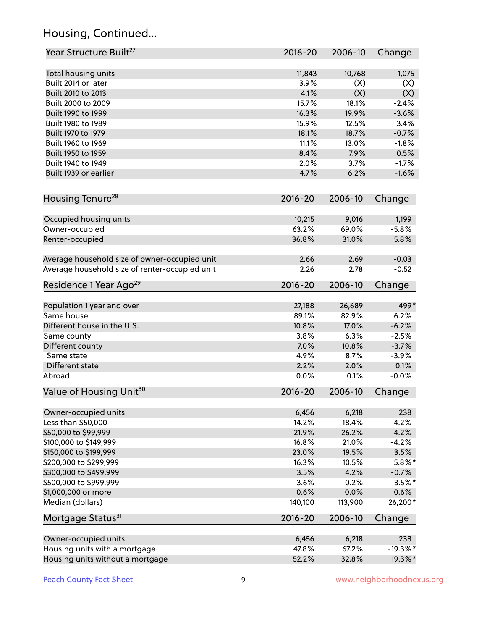# Housing, Continued...

| Year Structure Built <sup>27</sup>             | 2016-20 | 2006-10 | Change     |
|------------------------------------------------|---------|---------|------------|
| Total housing units                            | 11,843  | 10,768  | 1,075      |
| Built 2014 or later                            | 3.9%    | (X)     | (X)        |
| Built 2010 to 2013                             | 4.1%    | (X)     | (X)        |
| Built 2000 to 2009                             | 15.7%   | 18.1%   | $-2.4%$    |
| Built 1990 to 1999                             | 16.3%   | 19.9%   | $-3.6%$    |
| Built 1980 to 1989                             | 15.9%   | 12.5%   | 3.4%       |
| Built 1970 to 1979                             | 18.1%   | 18.7%   | $-0.7%$    |
| Built 1960 to 1969                             | 11.1%   | 13.0%   | $-1.8%$    |
| Built 1950 to 1959                             | 8.4%    | 7.9%    | 0.5%       |
| Built 1940 to 1949                             | 2.0%    | 3.7%    | $-1.7%$    |
| Built 1939 or earlier                          | 4.7%    | 6.2%    | $-1.6%$    |
|                                                |         |         |            |
| Housing Tenure <sup>28</sup>                   | 2016-20 | 2006-10 | Change     |
| Occupied housing units                         | 10,215  | 9,016   | 1,199      |
| Owner-occupied                                 | 63.2%   | 69.0%   | $-5.8%$    |
| Renter-occupied                                | 36.8%   | 31.0%   | 5.8%       |
| Average household size of owner-occupied unit  | 2.66    | 2.69    | $-0.03$    |
| Average household size of renter-occupied unit | 2.26    | 2.78    | $-0.52$    |
| Residence 1 Year Ago <sup>29</sup>             | 2016-20 | 2006-10 | Change     |
|                                                |         |         |            |
| Population 1 year and over                     | 27,188  | 26,689  | 499*       |
| Same house                                     | 89.1%   | 82.9%   | 6.2%       |
| Different house in the U.S.                    | 10.8%   | 17.0%   | $-6.2%$    |
| Same county                                    | 3.8%    | 6.3%    | $-2.5%$    |
| Different county                               | 7.0%    | 10.8%   | $-3.7%$    |
| Same state                                     | 4.9%    | 8.7%    | $-3.9%$    |
| Different state                                | 2.2%    | 2.0%    | 0.1%       |
| Abroad                                         | 0.0%    | 0.1%    | $-0.0%$    |
| Value of Housing Unit <sup>30</sup>            | 2016-20 | 2006-10 | Change     |
| Owner-occupied units                           | 6,456   | 6,218   | 238        |
| Less than \$50,000                             | 14.2%   | 18.4%   | $-4.2%$    |
| \$50,000 to \$99,999                           | 21.9%   | 26.2%   | $-4.2%$    |
| \$100,000 to \$149,999                         | 16.8%   | 21.0%   | $-4.2%$    |
| \$150,000 to \$199,999                         | 23.0%   | 19.5%   | 3.5%       |
| \$200,000 to \$299,999                         | 16.3%   | 10.5%   | $5.8\%$ *  |
| \$300,000 to \$499,999                         | 3.5%    | 4.2%    | $-0.7%$    |
| \$500,000 to \$999,999                         | 3.6%    | 0.2%    | $3.5%$ *   |
| \$1,000,000 or more                            | 0.6%    | 0.0%    | 0.6%       |
| Median (dollars)                               | 140,100 | 113,900 | 26,200*    |
| Mortgage Status <sup>31</sup>                  | 2016-20 | 2006-10 | Change     |
|                                                |         |         |            |
| Owner-occupied units                           | 6,456   | 6,218   | 238        |
| Housing units with a mortgage                  | 47.8%   | 67.2%   | $-19.3%$ * |
| Housing units without a mortgage               | 52.2%   | 32.8%   | 19.3%*     |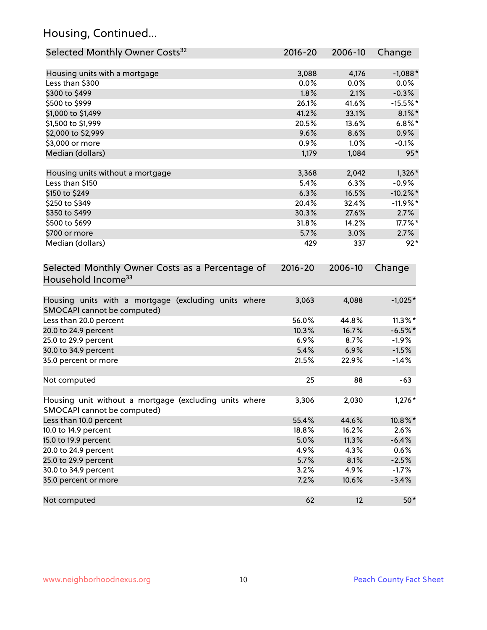# Housing, Continued...

| Selected Monthly Owner Costs <sup>32</sup>                                            | $2016 - 20$ | 2006-10 | Change      |
|---------------------------------------------------------------------------------------|-------------|---------|-------------|
| Housing units with a mortgage                                                         | 3,088       | 4,176   | $-1,088*$   |
| Less than \$300                                                                       | 0.0%        | 0.0%    | $0.0\%$     |
| \$300 to \$499                                                                        | 1.8%        | 2.1%    | $-0.3%$     |
| \$500 to \$999                                                                        | 26.1%       | 41.6%   | $-15.5%$ *  |
| \$1,000 to \$1,499                                                                    | 41.2%       | 33.1%   | $8.1\%$ *   |
| \$1,500 to \$1,999                                                                    | 20.5%       | 13.6%   | $6.8\%$ *   |
| \$2,000 to \$2,999                                                                    | 9.6%        | 8.6%    | 0.9%        |
| \$3,000 or more                                                                       | 0.9%        | 1.0%    | $-0.1%$     |
| Median (dollars)                                                                      | 1,179       | 1,084   | $95*$       |
|                                                                                       |             |         |             |
| Housing units without a mortgage                                                      | 3,368       | 2,042   | $1,326*$    |
| Less than \$150                                                                       | 5.4%        | 6.3%    | $-0.9\%$    |
| \$150 to \$249                                                                        | 6.3%        | 16.5%   | $-10.2\%$ * |
| \$250 to \$349                                                                        | 20.4%       | 32.4%   | $-11.9%$ *  |
| \$350 to \$499                                                                        | 30.3%       | 27.6%   | 2.7%        |
| \$500 to \$699                                                                        | 31.8%       | 14.2%   | 17.7%*      |
| \$700 or more                                                                         | 5.7%        | 3.0%    | 2.7%        |
| Median (dollars)                                                                      | 429         | 337     | $92*$       |
| Selected Monthly Owner Costs as a Percentage of<br>Household Income <sup>33</sup>     | $2016 - 20$ | 2006-10 | Change      |
| Housing units with a mortgage (excluding units where<br>SMOCAPI cannot be computed)   | 3,063       | 4,088   | $-1,025*$   |
| Less than 20.0 percent                                                                | 56.0%       | 44.8%   | $11.3\%$ *  |
| 20.0 to 24.9 percent                                                                  | 10.3%       | 16.7%   | $-6.5%$ *   |
| 25.0 to 29.9 percent                                                                  | 6.9%        | 8.7%    | $-1.9%$     |
| 30.0 to 34.9 percent                                                                  | 5.4%        | 6.9%    | $-1.5%$     |
| 35.0 percent or more                                                                  | 21.5%       | 22.9%   | $-1.4%$     |
| Not computed                                                                          | 25          | 88      | $-63$       |
| Housing unit without a mortgage (excluding units where<br>SMOCAPI cannot be computed) | 3,306       | 2,030   | $1,276*$    |
| Less than 10.0 percent                                                                | 55.4%       | 44.6%   | 10.8%*      |
| 10.0 to 14.9 percent                                                                  | 18.8%       | 16.2%   | 2.6%        |
| 15.0 to 19.9 percent                                                                  | 5.0%        | 11.3%   | $-6.4%$     |
| 20.0 to 24.9 percent                                                                  | 4.9%        | 4.3%    | 0.6%        |
| 25.0 to 29.9 percent                                                                  | 5.7%        | 8.1%    | $-2.5%$     |
| 30.0 to 34.9 percent                                                                  | 3.2%        | 4.9%    | $-1.7%$     |
| 35.0 percent or more                                                                  | 7.2%        | 10.6%   | $-3.4%$     |
| Not computed                                                                          | 62          | 12      | $50*$       |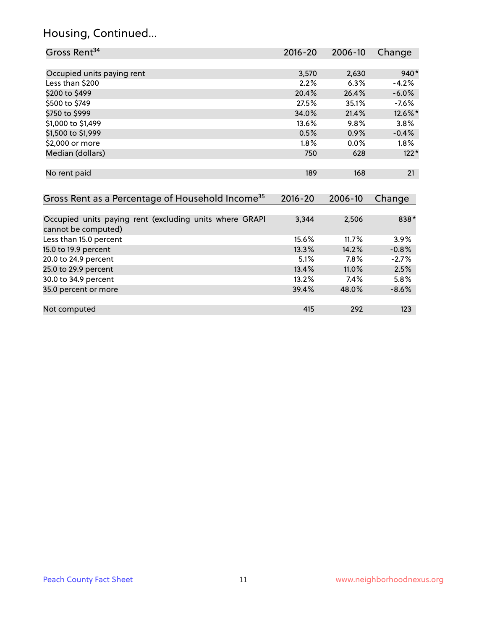# Housing, Continued...

| Gross Rent <sup>34</sup>                                                       | $2016 - 20$ | 2006-10 | Change  |
|--------------------------------------------------------------------------------|-------------|---------|---------|
|                                                                                |             |         |         |
| Occupied units paying rent                                                     | 3,570       | 2,630   | $940*$  |
| Less than \$200                                                                | 2.2%        | 6.3%    | $-4.2%$ |
| \$200 to \$499                                                                 | 20.4%       | 26.4%   | $-6.0%$ |
| \$500 to \$749                                                                 | 27.5%       | 35.1%   | $-7.6%$ |
| \$750 to \$999                                                                 | 34.0%       | 21.4%   | 12.6%*  |
| \$1,000 to \$1,499                                                             | 13.6%       | 9.8%    | 3.8%    |
| \$1,500 to \$1,999                                                             | 0.5%        | 0.9%    | $-0.4%$ |
| \$2,000 or more                                                                | 1.8%        | $0.0\%$ | $1.8\%$ |
| Median (dollars)                                                               | 750         | 628     | $122*$  |
| No rent paid                                                                   | 189         | 168     | 21      |
| Gross Rent as a Percentage of Household Income <sup>35</sup>                   | $2016 - 20$ | 2006-10 | Change  |
| Occupied units paying rent (excluding units where GRAPI<br>cannot be computed) | 3,344       | 2,506   | 838*    |
| Less than 15.0 percent                                                         | 15.6%       | 11.7%   | 3.9%    |
| 15.0 to 19.9 percent                                                           | 13.3%       | 14.2%   | $-0.8%$ |
| 20.0 to 24.9 percent                                                           | 5.1%        | 7.8%    | $-2.7%$ |
| 25.0 to 29.9 percent                                                           | 13.4%       | 11.0%   | 2.5%    |
| 30.0 to 34.9 percent                                                           | 13.2%       | 7.4%    | 5.8%    |
| 35.0 percent or more                                                           | 39.4%       | 48.0%   | $-8.6%$ |

Not computed and the computed and the computed and the computed and the computed and the computed and the computed and the computed and the computed and the computed and the computed and the computed and the computed and t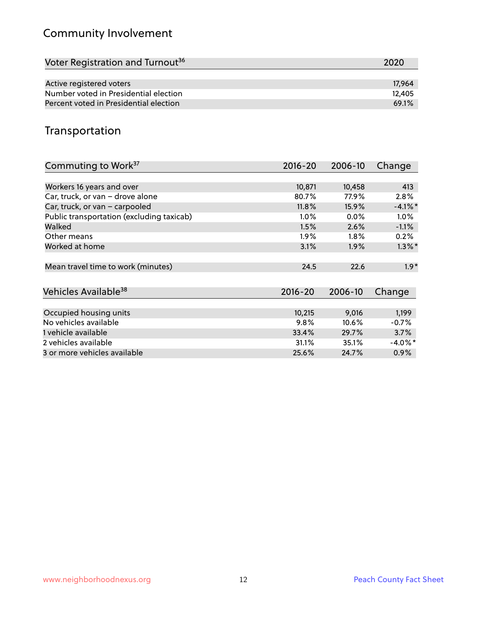# Community Involvement

| Voter Registration and Turnout <sup>36</sup> | 2020   |
|----------------------------------------------|--------|
|                                              |        |
| Active registered voters                     | 17.964 |
| Number voted in Presidential election        | 12.405 |
| Percent voted in Presidential election       | 69.1%  |

#### Transportation

| Commuting to Work <sup>37</sup>           | 2016-20     | 2006-10 | Change     |
|-------------------------------------------|-------------|---------|------------|
|                                           |             |         |            |
| Workers 16 years and over                 | 10,871      | 10,458  | 413        |
| Car, truck, or van - drove alone          | 80.7%       | 77.9%   | 2.8%       |
| Car, truck, or van - carpooled            | 11.8%       | 15.9%   | $-4.1\%$ * |
| Public transportation (excluding taxicab) | $1.0\%$     | 0.0%    | $1.0\%$    |
| Walked                                    | 1.5%        | 2.6%    | $-1.1%$    |
| Other means                               | $1.9\%$     | $1.8\%$ | 0.2%       |
| Worked at home                            | 3.1%        | 1.9%    | $1.3\%$ *  |
| Mean travel time to work (minutes)        | 24.5        | 22.6    | $1.9*$     |
| Vehicles Available <sup>38</sup>          | $2016 - 20$ | 2006-10 | Change     |
| Occupied housing units                    | 10,215      | 9,016   | 1,199      |
| No vehicles available                     | $9.8\%$     | 10.6%   | $-0.7%$    |
| 1 vehicle available                       | 33.4%       | 29.7%   | 3.7%       |
| 2 vehicles available                      | 31.1%       | 35.1%   | $-4.0\%$ * |
| 3 or more vehicles available              | 25.6%       | 24.7%   | $0.9\%$    |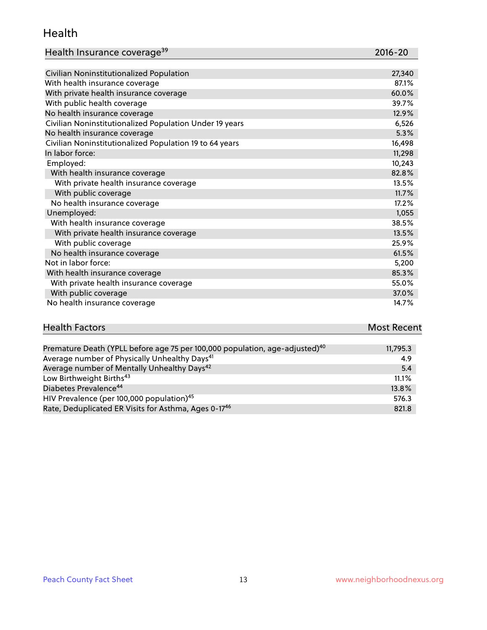#### Health

| Health Insurance coverage <sup>39</sup> | 2016-20 |
|-----------------------------------------|---------|
|-----------------------------------------|---------|

| Civilian Noninstitutionalized Population                | 27,340 |
|---------------------------------------------------------|--------|
| With health insurance coverage                          | 87.1%  |
| With private health insurance coverage                  | 60.0%  |
| With public health coverage                             | 39.7%  |
| No health insurance coverage                            | 12.9%  |
| Civilian Noninstitutionalized Population Under 19 years | 6,526  |
| No health insurance coverage                            | 5.3%   |
| Civilian Noninstitutionalized Population 19 to 64 years | 16,498 |
| In labor force:                                         | 11,298 |
| Employed:                                               | 10,243 |
| With health insurance coverage                          | 82.8%  |
| With private health insurance coverage                  | 13.5%  |
| With public coverage                                    | 11.7%  |
| No health insurance coverage                            | 17.2%  |
| Unemployed:                                             | 1,055  |
| With health insurance coverage                          | 38.5%  |
| With private health insurance coverage                  | 13.5%  |
| With public coverage                                    | 25.9%  |
| No health insurance coverage                            | 61.5%  |
| Not in labor force:                                     | 5,200  |
| With health insurance coverage                          | 85.3%  |
| With private health insurance coverage                  | 55.0%  |
| With public coverage                                    | 37.0%  |
| No health insurance coverage                            | 14.7%  |

# **Health Factors Most Recent** And The Control of the Control of The Control of The Control of The Control of The Control of The Control of The Control of The Control of The Control of The Control of The Control of The Contr

| Premature Death (YPLL before age 75 per 100,000 population, age-adjusted) <sup>40</sup> | 11,795.3 |
|-----------------------------------------------------------------------------------------|----------|
| Average number of Physically Unhealthy Days <sup>41</sup>                               | 4.9      |
| Average number of Mentally Unhealthy Days <sup>42</sup>                                 | 5.4      |
| Low Birthweight Births <sup>43</sup>                                                    | 11.1%    |
| Diabetes Prevalence <sup>44</sup>                                                       | 13.8%    |
| HIV Prevalence (per 100,000 population) <sup>45</sup>                                   | 576.3    |
| Rate, Deduplicated ER Visits for Asthma, Ages 0-17 <sup>46</sup>                        | 821.8    |